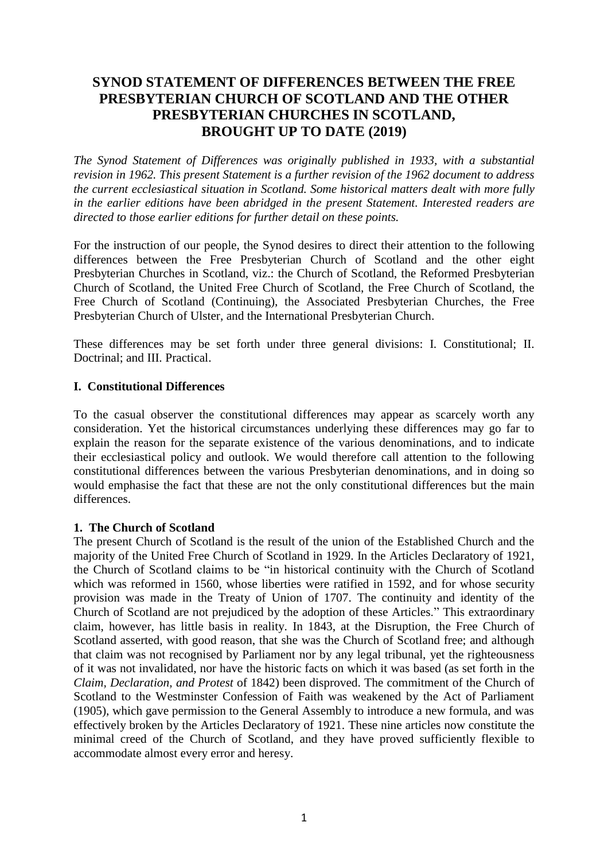# **SYNOD STATEMENT OF DIFFERENCES BETWEEN THE FREE PRESBYTERIAN CHURCH OF SCOTLAND AND THE OTHER PRESBYTERIAN CHURCHES IN SCOTLAND, BROUGHT UP TO DATE (2019)**

*The Synod Statement of Differences was originally published in 1933, with a substantial revision in 1962. This present Statement is a further revision of the 1962 document to address the current ecclesiastical situation in Scotland. Some historical matters dealt with more fully in the earlier editions have been abridged in the present Statement. Interested readers are directed to those earlier editions for further detail on these points.*

For the instruction of our people, the Synod desires to direct their attention to the following differences between the Free Presbyterian Church of Scotland and the other eight Presbyterian Churches in Scotland, viz.: the Church of Scotland, the Reformed Presbyterian Church of Scotland, the United Free Church of Scotland, the Free Church of Scotland, the Free Church of Scotland (Continuing), the Associated Presbyterian Churches, the Free Presbyterian Church of Ulster, and the International Presbyterian Church.

These differences may be set forth under three general divisions: I. Constitutional; II. Doctrinal; and III. Practical.

# **I. Constitutional Differences**

To the casual observer the constitutional differences may appear as scarcely worth any consideration. Yet the historical circumstances underlying these differences may go far to explain the reason for the separate existence of the various denominations, and to indicate their ecclesiastical policy and outlook. We would therefore call attention to the following constitutional differences between the various Presbyterian denominations, and in doing so would emphasise the fact that these are not the only constitutional differences but the main differences.

# **1. The Church of Scotland**

The present Church of Scotland is the result of the union of the Established Church and the majority of the United Free Church of Scotland in 1929. In the Articles Declaratory of 1921, the Church of Scotland claims to be "in historical continuity with the Church of Scotland which was reformed in 1560, whose liberties were ratified in 1592, and for whose security provision was made in the Treaty of Union of 1707. The continuity and identity of the Church of Scotland are not prejudiced by the adoption of these Articles." This extraordinary claim, however, has little basis in reality. In 1843, at the Disruption, the Free Church of Scotland asserted, with good reason, that she was the Church of Scotland free; and although that claim was not recognised by Parliament nor by any legal tribunal, yet the righteousness of it was not invalidated, nor have the historic facts on which it was based (as set forth in the *Claim, Declaration, and Protest* of 1842) been disproved. The commitment of the Church of Scotland to the Westminster Confession of Faith was weakened by the Act of Parliament (1905), which gave permission to the General Assembly to introduce a new formula, and was effectively broken by the Articles Declaratory of 1921. These nine articles now constitute the minimal creed of the Church of Scotland, and they have proved sufficiently flexible to accommodate almost every error and heresy.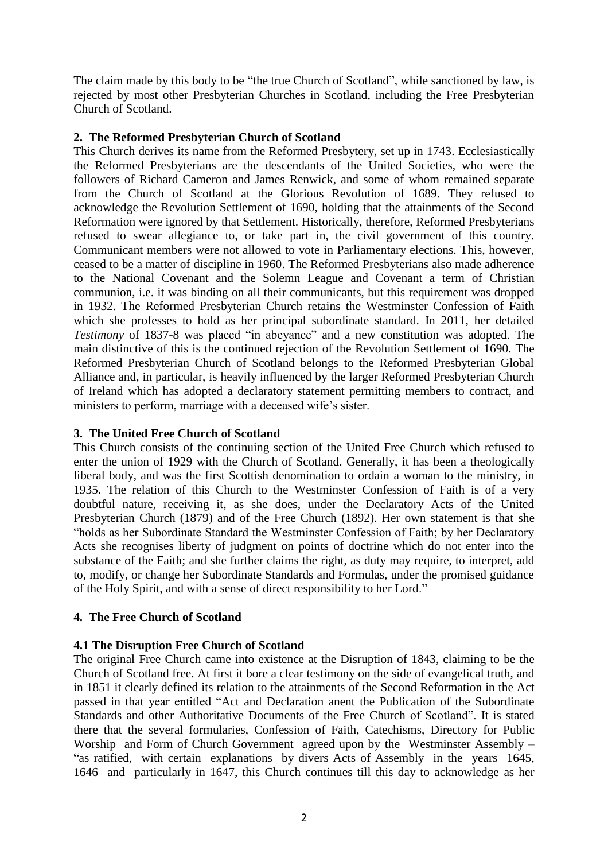The claim made by this body to be "the true Church of Scotland", while sanctioned by law, is rejected by most other Presbyterian Churches in Scotland, including the Free Presbyterian Church of Scotland.

# **2. The Reformed Presbyterian Church of Scotland**

This Church derives its name from the Reformed Presbytery, set up in 1743. Ecclesiastically the Reformed Presbyterians are the descendants of the United Societies, who were the followers of Richard Cameron and James Renwick, and some of whom remained separate from the Church of Scotland at the Glorious Revolution of 1689. They refused to acknowledge the Revolution Settlement of 1690, holding that the attainments of the Second Reformation were ignored by that Settlement. Historically, therefore, Reformed Presbyterians refused to swear allegiance to, or take part in, the civil government of this country. Communicant members were not allowed to vote in Parliamentary elections. This, however, ceased to be a matter of discipline in 1960. The Reformed Presbyterians also made adherence to the National Covenant and the Solemn League and Covenant a term of Christian communion, i.e. it was binding on all their communicants, but this requirement was dropped in 1932. The Reformed Presbyterian Church retains the Westminster Confession of Faith which she professes to hold as her principal subordinate standard. In 2011, her detailed *Testimony* of 1837-8 was placed "in abeyance" and a new constitution was adopted. The main distinctive of this is the continued rejection of the Revolution Settlement of 1690. The Reformed Presbyterian Church of Scotland belongs to the Reformed Presbyterian Global Alliance and, in particular, is heavily influenced by the larger Reformed Presbyterian Church of Ireland which has adopted a declaratory statement permitting members to contract, and ministers to perform, marriage with a deceased wife's sister.

### **3. The United Free Church of Scotland**

This Church consists of the continuing section of the United Free Church which refused to enter the union of 1929 with the Church of Scotland. Generally, it has been a theologically liberal body, and was the first Scottish denomination to ordain a woman to the ministry, in 1935. The relation of this Church to the Westminster Confession of Faith is of a very doubtful nature, receiving it, as she does, under the Declaratory Acts of the United Presbyterian Church (1879) and of the Free Church (1892). Her own statement is that she "holds as her Subordinate Standard the Westminster Confession of Faith; by her Declaratory Acts she recognises liberty of judgment on points of doctrine which do not enter into the substance of the Faith; and she further claims the right, as duty may require, to interpret, add to, modify, or change her Subordinate Standards and Formulas, under the promised guidance of the Holy Spirit, and with a sense of direct responsibility to her Lord."

# **4. The Free Church of Scotland**

# **4.1 The Disruption Free Church of Scotland**

The original Free Church came into existence at the Disruption of 1843, claiming to be the Church of Scotland free. At first it bore a clear testimony on the side of evangelical truth, and in 1851 it clearly defined its relation to the attainments of the Second Reformation in the Act passed in that year entitled "Act and Declaration anent the Publication of the Subordinate Standards and other Authoritative Documents of the Free Church of Scotland". It is stated there that the several formularies, Confession of Faith, Catechisms, Directory for Public Worship and Form of Church Government agreed upon by the Westminster Assembly – "as ratified, with certain explanations by divers Acts of Assembly in the years 1645, 1646 and particularly in 1647, this Church continues till this day to acknowledge as her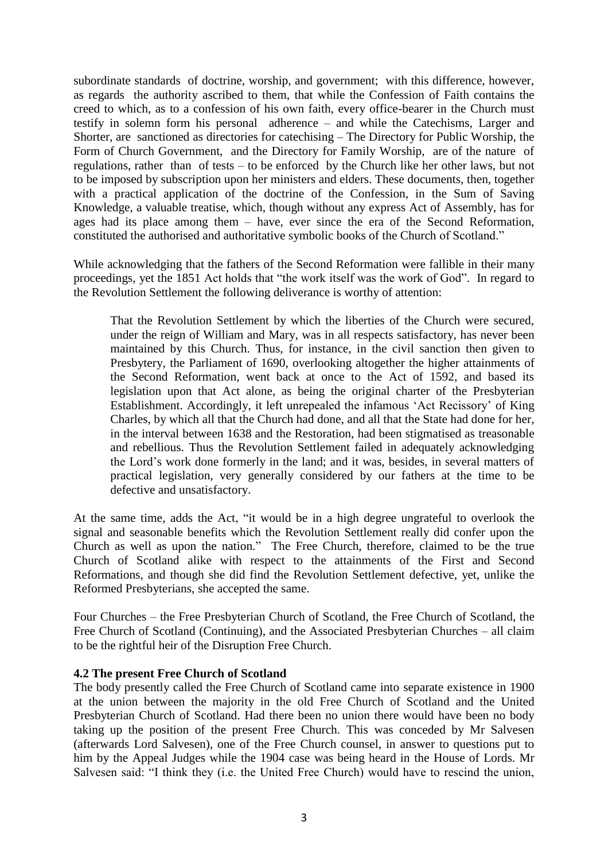subordinate standards of doctrine, worship, and government; with this difference, however, as regards the authority ascribed to them, that while the Confession of Faith contains the creed to which, as to a confession of his own faith, every office-bearer in the Church must testify in solemn form his personal adherence – and while the Catechisms, Larger and Shorter, are sanctioned as directories for catechising – The Directory for Public Worship, the Form of Church Government, and the Directory for Family Worship, are of the nature of regulations, rather than of tests – to be enforced by the Church like her other laws, but not to be imposed by subscription upon her ministers and elders. These documents, then, together with a practical application of the doctrine of the Confession, in the Sum of Saving Knowledge, a valuable treatise, which, though without any express Act of Assembly, has for ages had its place among them – have, ever since the era of the Second Reformation, constituted the authorised and authoritative symbolic books of the Church of Scotland."

While acknowledging that the fathers of the Second Reformation were fallible in their many proceedings, yet the 1851 Act holds that "the work itself was the work of God". In regard to the Revolution Settlement the following deliverance is worthy of attention:

That the Revolution Settlement by which the liberties of the Church were secured, under the reign of William and Mary, was in all respects satisfactory, has never been maintained by this Church. Thus, for instance, in the civil sanction then given to Presbytery, the Parliament of 1690, overlooking altogether the higher attainments of the Second Reformation, went back at once to the Act of 1592, and based its legislation upon that Act alone, as being the original charter of the Presbyterian Establishment. Accordingly, it left unrepealed the infamous 'Act Recissory' of King Charles, by which all that the Church had done, and all that the State had done for her, in the interval between 1638 and the Restoration, had been stigmatised as treasonable and rebellious. Thus the Revolution Settlement failed in adequately acknowledging the Lord's work done formerly in the land; and it was, besides, in several matters of practical legislation, very generally considered by our fathers at the time to be defective and unsatisfactory.

At the same time, adds the Act, "it would be in a high degree ungrateful to overlook the signal and seasonable benefits which the Revolution Settlement really did confer upon the Church as well as upon the nation." The Free Church, therefore, claimed to be the true Church of Scotland alike with respect to the attainments of the First and Second Reformations, and though she did find the Revolution Settlement defective, yet, unlike the Reformed Presbyterians, she accepted the same.

Four Churches – the Free Presbyterian Church of Scotland, the Free Church of Scotland, the Free Church of Scotland (Continuing), and the Associated Presbyterian Churches – all claim to be the rightful heir of the Disruption Free Church.

### **4.2 The present Free Church of Scotland**

The body presently called the Free Church of Scotland came into separate existence in 1900 at the union between the majority in the old Free Church of Scotland and the United Presbyterian Church of Scotland. Had there been no union there would have been no body taking up the position of the present Free Church. This was conceded by Mr Salvesen (afterwards Lord Salvesen), one of the Free Church counsel, in answer to questions put to him by the Appeal Judges while the 1904 case was being heard in the House of Lords. Mr Salvesen said: "I think they (i.e. the United Free Church) would have to rescind the union,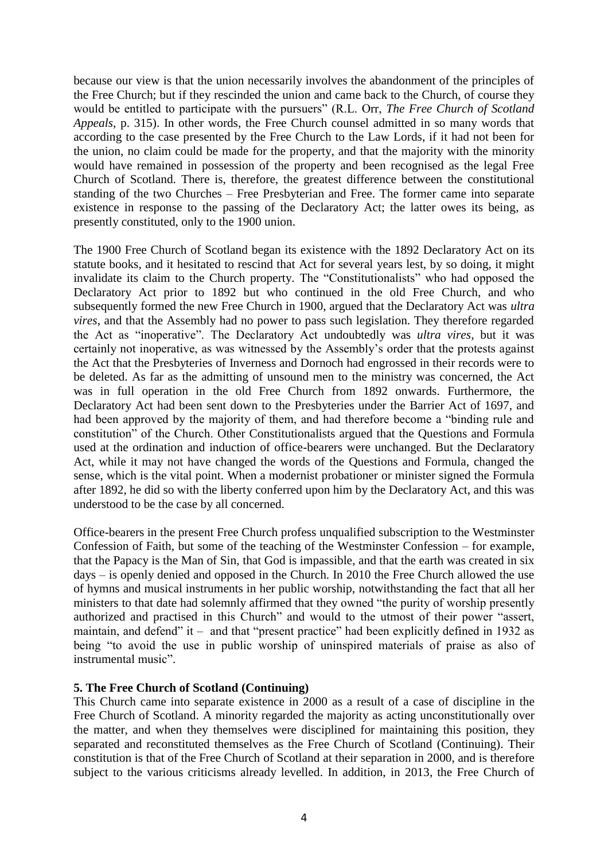because our view is that the union necessarily involves the abandonment of the principles of the Free Church; but if they rescinded the union and came back to the Church, of course they would be entitled to participate with the pursuers" (R.L. Orr, *The Free Church of Scotland Appeals*, p. 315). In other words, the Free Church counsel admitted in so many words that according to the case presented by the Free Church to the Law Lords, if it had not been for the union, no claim could be made for the property, and that the majority with the minority would have remained in possession of the property and been recognised as the legal Free Church of Scotland. There is, therefore, the greatest difference between the constitutional standing of the two Churches – Free Presbyterian and Free. The former came into separate existence in response to the passing of the Declaratory Act; the latter owes its being, as presently constituted, only to the 1900 union.

The 1900 Free Church of Scotland began its existence with the 1892 Declaratory Act on its statute books, and it hesitated to rescind that Act for several years lest, by so doing, it might invalidate its claim to the Church property. The "Constitutionalists" who had opposed the Declaratory Act prior to 1892 but who continued in the old Free Church, and who subsequently formed the new Free Church in 1900, argued that the Declaratory Act was *ultra vires*, and that the Assembly had no power to pass such legislation. They therefore regarded the Act as "inoperative". The Declaratory Act undoubtedly was *ultra vires*, but it was certainly not inoperative, as was witnessed by the Assembly's order that the protests against the Act that the Presbyteries of Inverness and Dornoch had engrossed in their records were to be deleted. As far as the admitting of unsound men to the ministry was concerned, the Act was in full operation in the old Free Church from 1892 onwards. Furthermore, the Declaratory Act had been sent down to the Presbyteries under the Barrier Act of 1697, and had been approved by the majority of them, and had therefore become a "binding rule and constitution" of the Church. Other Constitutionalists argued that the Questions and Formula used at the ordination and induction of office-bearers were unchanged. But the Declaratory Act, while it may not have changed the words of the Questions and Formula, changed the sense, which is the vital point. When a modernist probationer or minister signed the Formula after 1892, he did so with the liberty conferred upon him by the Declaratory Act, and this was understood to be the case by all concerned.

Office-bearers in the present Free Church profess unqualified subscription to the Westminster Confession of Faith, but some of the teaching of the Westminster Confession – for example, that the Papacy is the Man of Sin, that God is impassible, and that the earth was created in six days – is openly denied and opposed in the Church. In 2010 the Free Church allowed the use of hymns and musical instruments in her public worship, notwithstanding the fact that all her ministers to that date had solemnly affirmed that they owned "the purity of worship presently authorized and practised in this Church" and would to the utmost of their power "assert, maintain, and defend" it – and that "present practice" had been explicitly defined in 1932 as being "to avoid the use in public worship of uninspired materials of praise as also of instrumental music".

### **5. The Free Church of Scotland (Continuing)**

This Church came into separate existence in 2000 as a result of a case of discipline in the Free Church of Scotland. A minority regarded the majority as acting unconstitutionally over the matter, and when they themselves were disciplined for maintaining this position, they separated and reconstituted themselves as the Free Church of Scotland (Continuing). Their constitution is that of the Free Church of Scotland at their separation in 2000, and is therefore subject to the various criticisms already levelled. In addition, in 2013, the Free Church of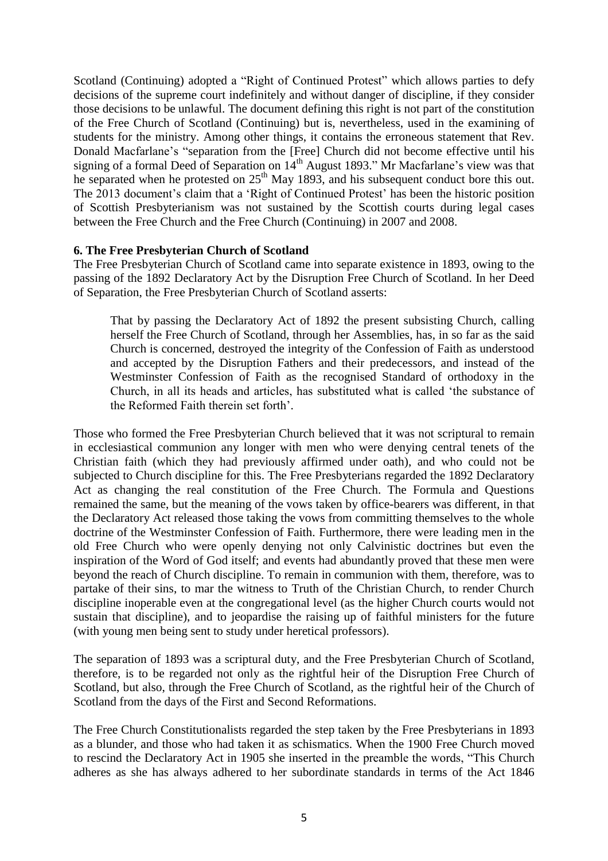Scotland (Continuing) adopted a "Right of Continued Protest" which allows parties to defy decisions of the supreme court indefinitely and without danger of discipline, if they consider those decisions to be unlawful. The document defining this right is not part of the constitution of the Free Church of Scotland (Continuing) but is, nevertheless, used in the examining of students for the ministry. Among other things, it contains the erroneous statement that Rev. Donald Macfarlane's "separation from the [Free] Church did not become effective until his signing of a formal Deed of Separation on 14<sup>th</sup> August 1893." Mr Macfarlane's view was that he separated when he protested on  $25<sup>th</sup>$  May 1893, and his subsequent conduct bore this out. The 2013 document's claim that a 'Right of Continued Protest' has been the historic position of Scottish Presbyterianism was not sustained by the Scottish courts during legal cases between the Free Church and the Free Church (Continuing) in 2007 and 2008.

### **6. The Free Presbyterian Church of Scotland**

The Free Presbyterian Church of Scotland came into separate existence in 1893, owing to the passing of the 1892 Declaratory Act by the Disruption Free Church of Scotland. In her Deed of Separation, the Free Presbyterian Church of Scotland asserts:

That by passing the Declaratory Act of 1892 the present subsisting Church, calling herself the Free Church of Scotland, through her Assemblies, has, in so far as the said Church is concerned, destroyed the integrity of the Confession of Faith as understood and accepted by the Disruption Fathers and their predecessors, and instead of the Westminster Confession of Faith as the recognised Standard of orthodoxy in the Church, in all its heads and articles, has substituted what is called 'the substance of the Reformed Faith therein set forth'.

Those who formed the Free Presbyterian Church believed that it was not scriptural to remain in ecclesiastical communion any longer with men who were denying central tenets of the Christian faith (which they had previously affirmed under oath), and who could not be subjected to Church discipline for this. The Free Presbyterians regarded the 1892 Declaratory Act as changing the real constitution of the Free Church. The Formula and Questions remained the same, but the meaning of the vows taken by office-bearers was different, in that the Declaratory Act released those taking the vows from committing themselves to the whole doctrine of the Westminster Confession of Faith. Furthermore, there were leading men in the old Free Church who were openly denying not only Calvinistic doctrines but even the inspiration of the Word of God itself; and events had abundantly proved that these men were beyond the reach of Church discipline. To remain in communion with them, therefore, was to partake of their sins, to mar the witness to Truth of the Christian Church, to render Church discipline inoperable even at the congregational level (as the higher Church courts would not sustain that discipline), and to jeopardise the raising up of faithful ministers for the future (with young men being sent to study under heretical professors).

The separation of 1893 was a scriptural duty, and the Free Presbyterian Church of Scotland, therefore, is to be regarded not only as the rightful heir of the Disruption Free Church of Scotland, but also, through the Free Church of Scotland, as the rightful heir of the Church of Scotland from the days of the First and Second Reformations.

The Free Church Constitutionalists regarded the step taken by the Free Presbyterians in 1893 as a blunder, and those who had taken it as schismatics. When the 1900 Free Church moved to rescind the Declaratory Act in 1905 she inserted in the preamble the words, "This Church adheres as she has always adhered to her subordinate standards in terms of the Act 1846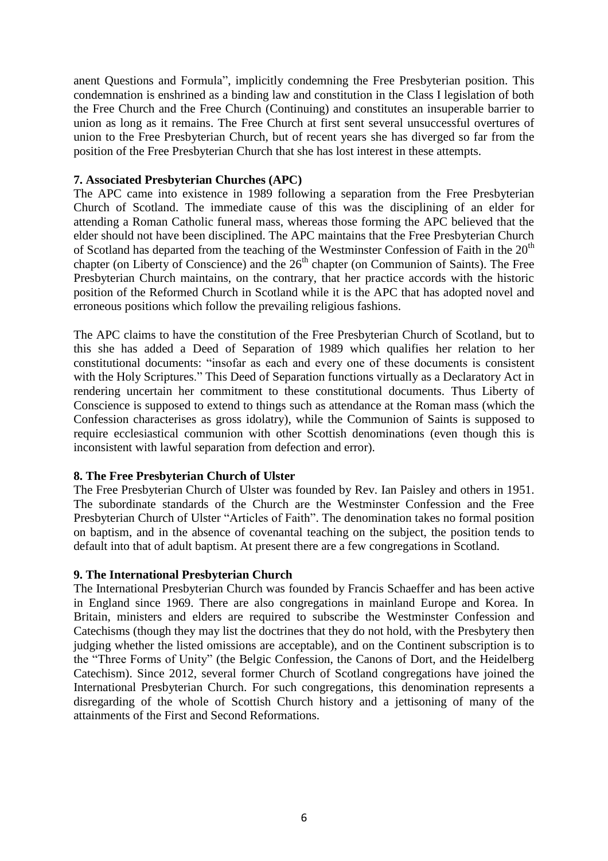anent Questions and Formula", implicitly condemning the Free Presbyterian position. This condemnation is enshrined as a binding law and constitution in the Class I legislation of both the Free Church and the Free Church (Continuing) and constitutes an insuperable barrier to union as long as it remains. The Free Church at first sent several unsuccessful overtures of union to the Free Presbyterian Church, but of recent years she has diverged so far from the position of the Free Presbyterian Church that she has lost interest in these attempts.

### **7. Associated Presbyterian Churches (APC)**

The APC came into existence in 1989 following a separation from the Free Presbyterian Church of Scotland. The immediate cause of this was the disciplining of an elder for attending a Roman Catholic funeral mass, whereas those forming the APC believed that the elder should not have been disciplined. The APC maintains that the Free Presbyterian Church of Scotland has departed from the teaching of the Westminster Confession of Faith in the  $20<sup>th</sup>$ chapter (on Liberty of Conscience) and the  $26<sup>th</sup>$  chapter (on Communion of Saints). The Free Presbyterian Church maintains, on the contrary, that her practice accords with the historic position of the Reformed Church in Scotland while it is the APC that has adopted novel and erroneous positions which follow the prevailing religious fashions.

The APC claims to have the constitution of the Free Presbyterian Church of Scotland, but to this she has added a Deed of Separation of 1989 which qualifies her relation to her constitutional documents: "insofar as each and every one of these documents is consistent with the Holy Scriptures." This Deed of Separation functions virtually as a Declaratory Act in rendering uncertain her commitment to these constitutional documents. Thus Liberty of Conscience is supposed to extend to things such as attendance at the Roman mass (which the Confession characterises as gross idolatry), while the Communion of Saints is supposed to require ecclesiastical communion with other Scottish denominations (even though this is inconsistent with lawful separation from defection and error).

### **8. The Free Presbyterian Church of Ulster**

The Free Presbyterian Church of Ulster was founded by Rev. Ian Paisley and others in 1951. The subordinate standards of the Church are the Westminster Confession and the Free Presbyterian Church of Ulster "Articles of Faith". The denomination takes no formal position on baptism, and in the absence of covenantal teaching on the subject, the position tends to default into that of adult baptism. At present there are a few congregations in Scotland.

#### **9. The International Presbyterian Church**

The International Presbyterian Church was founded by Francis Schaeffer and has been active in England since 1969. There are also congregations in mainland Europe and Korea. In Britain, ministers and elders are required to subscribe the Westminster Confession and Catechisms (though they may list the doctrines that they do not hold, with the Presbytery then judging whether the listed omissions are acceptable), and on the Continent subscription is to the "Three Forms of Unity" (the Belgic Confession, the Canons of Dort, and the Heidelberg Catechism). Since 2012, several former Church of Scotland congregations have joined the International Presbyterian Church. For such congregations, this denomination represents a disregarding of the whole of Scottish Church history and a jettisoning of many of the attainments of the First and Second Reformations.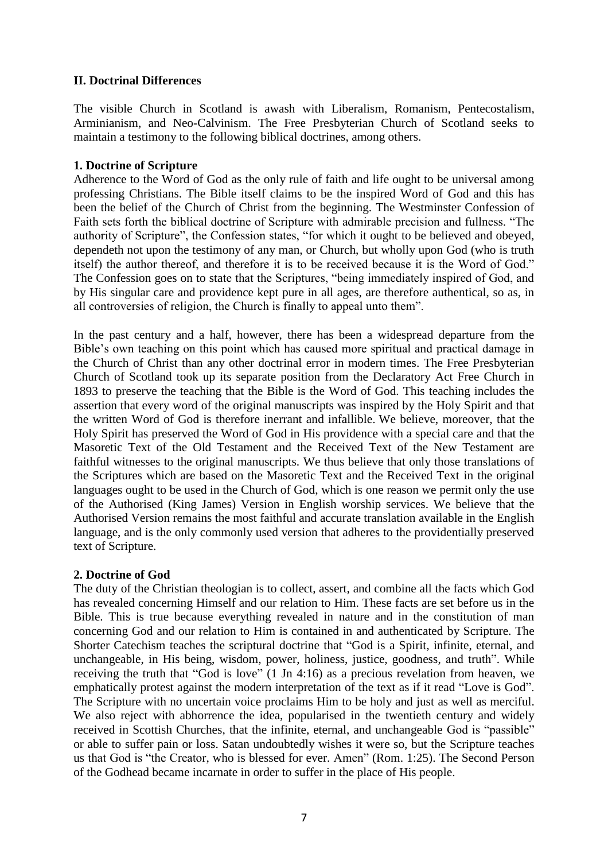# **II. Doctrinal Differences**

The visible Church in Scotland is awash with Liberalism, Romanism, Pentecostalism, Arminianism, and Neo-Calvinism. The Free Presbyterian Church of Scotland seeks to maintain a testimony to the following biblical doctrines, among others.

# **1. Doctrine of Scripture**

Adherence to the Word of God as the only rule of faith and life ought to be universal among professing Christians. The Bible itself claims to be the inspired Word of God and this has been the belief of the Church of Christ from the beginning. The Westminster Confession of Faith sets forth the biblical doctrine of Scripture with admirable precision and fullness. "The authority of Scripture", the Confession states, "for which it ought to be believed and obeyed, dependeth not upon the testimony of any man, or Church, but wholly upon God (who is truth itself) the author thereof, and therefore it is to be received because it is the Word of God." The Confession goes on to state that the Scriptures, "being immediately inspired of God, and by His singular care and providence kept pure in all ages, are therefore authentical, so as, in all controversies of religion, the Church is finally to appeal unto them".

In the past century and a half, however, there has been a widespread departure from the Bible's own teaching on this point which has caused more spiritual and practical damage in the Church of Christ than any other doctrinal error in modern times. The Free Presbyterian Church of Scotland took up its separate position from the Declaratory Act Free Church in 1893 to preserve the teaching that the Bible is the Word of God. This teaching includes the assertion that every word of the original manuscripts was inspired by the Holy Spirit and that the written Word of God is therefore inerrant and infallible. We believe, moreover, that the Holy Spirit has preserved the Word of God in His providence with a special care and that the Masoretic Text of the Old Testament and the Received Text of the New Testament are faithful witnesses to the original manuscripts. We thus believe that only those translations of the Scriptures which are based on the Masoretic Text and the Received Text in the original languages ought to be used in the Church of God, which is one reason we permit only the use of the Authorised (King James) Version in English worship services. We believe that the Authorised Version remains the most faithful and accurate translation available in the English language, and is the only commonly used version that adheres to the providentially preserved text of Scripture.

# **2. Doctrine of God**

The duty of the Christian theologian is to collect, assert, and combine all the facts which God has revealed concerning Himself and our relation to Him. These facts are set before us in the Bible. This is true because everything revealed in nature and in the constitution of man concerning God and our relation to Him is contained in and authenticated by Scripture. The Shorter Catechism teaches the scriptural doctrine that "God is a Spirit, infinite, eternal, and unchangeable, in His being, wisdom, power, holiness, justice, goodness, and truth". While receiving the truth that "God is love" (1 Jn 4:16) as a precious revelation from heaven, we emphatically protest against the modern interpretation of the text as if it read "Love is God". The Scripture with no uncertain voice proclaims Him to be holy and just as well as merciful. We also reject with abhorrence the idea, popularised in the twentieth century and widely received in Scottish Churches, that the infinite, eternal, and unchangeable God is "passible" or able to suffer pain or loss. Satan undoubtedly wishes it were so, but the Scripture teaches us that God is "the Creator, who is blessed for ever. Amen" (Rom. 1:25). The Second Person of the Godhead became incarnate in order to suffer in the place of His people.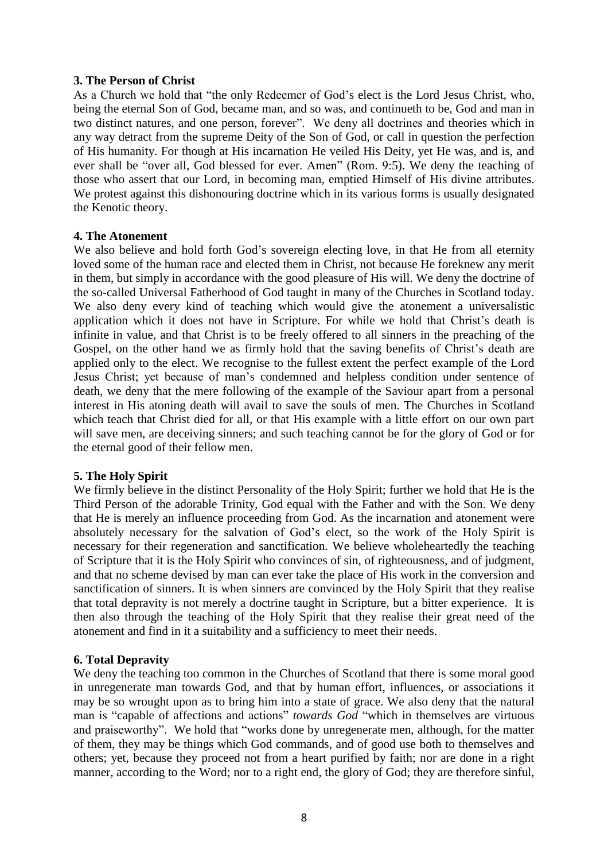### **3. The Person of Christ**

As a Church we hold that "the only Redeemer of God's elect is the Lord Jesus Christ, who, being the eternal Son of God, became man, and so was, and continueth to be, God and man in two distinct natures, and one person, forever". We deny all doctrines and theories which in any way detract from the supreme Deity of the Son of God, or call in question the perfection of His humanity. For though at His incarnation He veiled His Deity, yet He was, and is, and ever shall be "over all, God blessed for ever. Amen" (Rom. 9:5). We deny the teaching of those who assert that our Lord, in becoming man, emptied Himself of His divine attributes. We protest against this dishonouring doctrine which in its various forms is usually designated the Kenotic theory.

# **4. The Atonement**

We also believe and hold forth God's sovereign electing love, in that He from all eternity loved some of the human race and elected them in Christ, not because He foreknew any merit in them, but simply in accordance with the good pleasure of His will. We deny the doctrine of the so-called Universal Fatherhood of God taught in many of the Churches in Scotland today. We also deny every kind of teaching which would give the atonement a universalistic application which it does not have in Scripture. For while we hold that Christ's death is infinite in value, and that Christ is to be freely offered to all sinners in the preaching of the Gospel, on the other hand we as firmly hold that the saving benefits of Christ's death are applied only to the elect. We recognise to the fullest extent the perfect example of the Lord Jesus Christ; yet because of man's condemned and helpless condition under sentence of death, we deny that the mere following of the example of the Saviour apart from a personal interest in His atoning death will avail to save the souls of men. The Churches in Scotland which teach that Christ died for all, or that His example with a little effort on our own part will save men, are deceiving sinners; and such teaching cannot be for the glory of God or for the eternal good of their fellow men.

### **5. The Holy Spirit**

We firmly believe in the distinct Personality of the Holy Spirit; further we hold that He is the Third Person of the adorable Trinity, God equal with the Father and with the Son. We deny that He is merely an influence proceeding from God. As the incarnation and atonement were absolutely necessary for the salvation of God's elect, so the work of the Holy Spirit is necessary for their regeneration and sanctification. We believe wholeheartedly the teaching of Scripture that it is the Holy Spirit who convinces of sin, of righteousness, and of judgment, and that no scheme devised by man can ever take the place of His work in the conversion and sanctification of sinners. It is when sinners are convinced by the Holy Spirit that they realise that total depravity is not merely a doctrine taught in Scripture, but a bitter experience. It is then also through the teaching of the Holy Spirit that they realise their great need of the atonement and find in it a suitability and a sufficiency to meet their needs.

# **6. Total Depravity**

We deny the teaching too common in the Churches of Scotland that there is some moral good in unregenerate man towards God, and that by human effort, influences, or associations it may be so wrought upon as to bring him into a state of grace. We also deny that the natural man is "capable of affections and actions" *towards God* "which in themselves are virtuous and praiseworthy". We hold that "works done by unregenerate men, although, for the matter of them, they may be things which God commands, and of good use both to themselves and others; yet, because they proceed not from a heart purified by faith; nor are done in a right manner, according to the Word; nor to a right end, the glory of God; they are therefore sinful,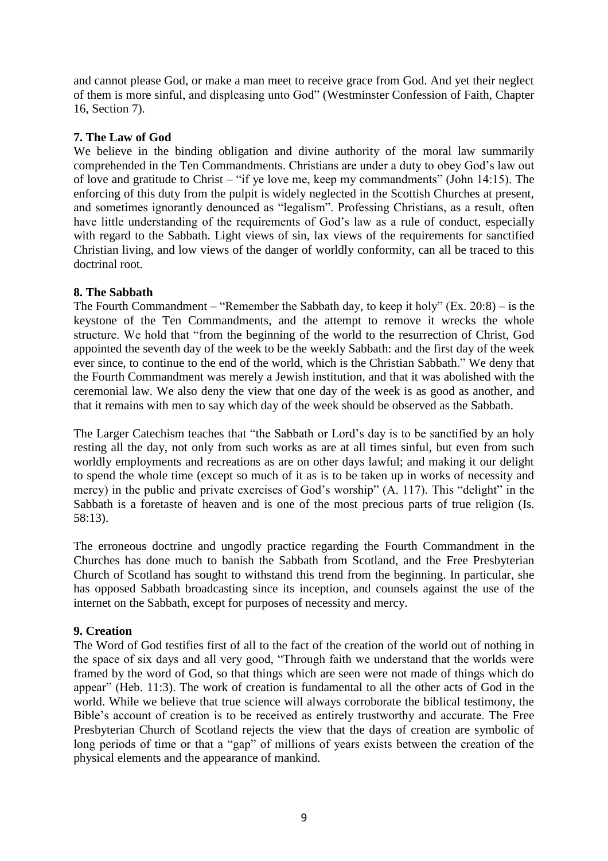and cannot please God, or make a man meet to receive grace from God. And yet their neglect of them is more sinful, and displeasing unto God" (Westminster Confession of Faith, Chapter 16, Section 7).

# **7. The Law of God**

We believe in the binding obligation and divine authority of the moral law summarily comprehended in the Ten Commandments. Christians are under a duty to obey God's law out of love and gratitude to Christ – "if ye love me, keep my commandments" (John 14:15). The enforcing of this duty from the pulpit is widely neglected in the Scottish Churches at present, and sometimes ignorantly denounced as "legalism". Professing Christians, as a result, often have little understanding of the requirements of God's law as a rule of conduct, especially with regard to the Sabbath. Light views of sin, lax views of the requirements for sanctified Christian living, and low views of the danger of worldly conformity, can all be traced to this doctrinal root.

# **8. The Sabbath**

The Fourth Commandment – "Remember the Sabbath day, to keep it holy" (Ex. 20:8) – is the keystone of the Ten Commandments, and the attempt to remove it wrecks the whole structure. We hold that "from the beginning of the world to the resurrection of Christ, God appointed the seventh day of the week to be the weekly Sabbath: and the first day of the week ever since, to continue to the end of the world, which is the Christian Sabbath." We deny that the Fourth Commandment was merely a Jewish institution, and that it was abolished with the ceremonial law. We also deny the view that one day of the week is as good as another, and that it remains with men to say which day of the week should be observed as the Sabbath.

The Larger Catechism teaches that "the Sabbath or Lord's day is to be sanctified by an holy resting all the day, not only from such works as are at all times sinful, but even from such worldly employments and recreations as are on other days lawful; and making it our delight to spend the whole time (except so much of it as is to be taken up in works of necessity and mercy) in the public and private exercises of God's worship" (A. 117). This "delight" in the Sabbath is a foretaste of heaven and is one of the most precious parts of true religion (Is. 58:13).

The erroneous doctrine and ungodly practice regarding the Fourth Commandment in the Churches has done much to banish the Sabbath from Scotland, and the Free Presbyterian Church of Scotland has sought to withstand this trend from the beginning. In particular, she has opposed Sabbath broadcasting since its inception, and counsels against the use of the internet on the Sabbath, except for purposes of necessity and mercy.

# **9. Creation**

The Word of God testifies first of all to the fact of the creation of the world out of nothing in the space of six days and all very good, "Through faith we understand that the worlds were framed by the word of God, so that things which are seen were not made of things which do appear" (Heb. 11:3). The work of creation is fundamental to all the other acts of God in the world. While we believe that true science will always corroborate the biblical testimony, the Bible's account of creation is to be received as entirely trustworthy and accurate. The Free Presbyterian Church of Scotland rejects the view that the days of creation are symbolic of long periods of time or that a "gap" of millions of years exists between the creation of the physical elements and the appearance of mankind.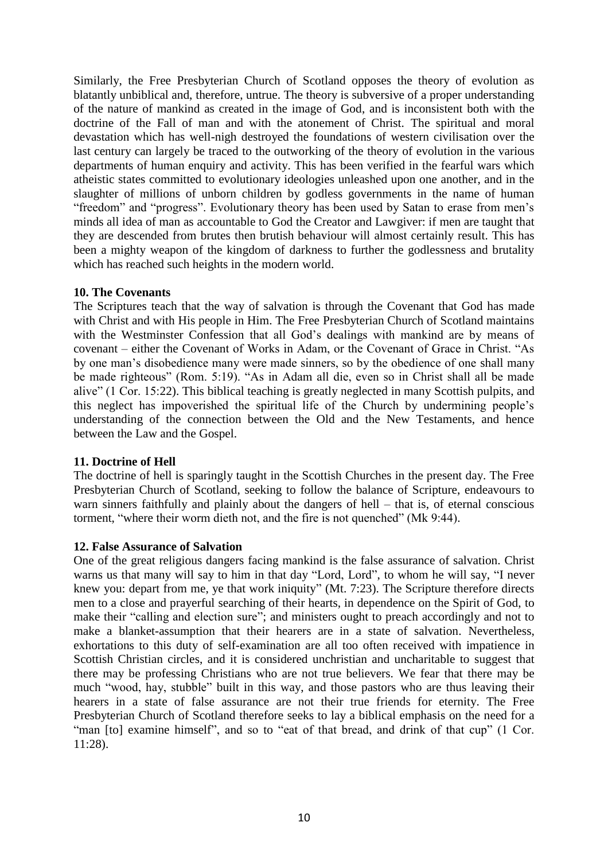Similarly, the Free Presbyterian Church of Scotland opposes the theory of evolution as blatantly unbiblical and, therefore, untrue. The theory is subversive of a proper understanding of the nature of mankind as created in the image of God, and is inconsistent both with the doctrine of the Fall of man and with the atonement of Christ. The spiritual and moral devastation which has well-nigh destroyed the foundations of western civilisation over the last century can largely be traced to the outworking of the theory of evolution in the various departments of human enquiry and activity. This has been verified in the fearful wars which atheistic states committed to evolutionary ideologies unleashed upon one another, and in the slaughter of millions of unborn children by godless governments in the name of human "freedom" and "progress". Evolutionary theory has been used by Satan to erase from men's minds all idea of man as accountable to God the Creator and Lawgiver: if men are taught that they are descended from brutes then brutish behaviour will almost certainly result. This has been a mighty weapon of the kingdom of darkness to further the godlessness and brutality which has reached such heights in the modern world.

# **10. The Covenants**

The Scriptures teach that the way of salvation is through the Covenant that God has made with Christ and with His people in Him. The Free Presbyterian Church of Scotland maintains with the Westminster Confession that all God's dealings with mankind are by means of covenant – either the Covenant of Works in Adam, or the Covenant of Grace in Christ. "As by one man's disobedience many were made sinners, so by the obedience of one shall many be made righteous" (Rom. 5:19). "As in Adam all die, even so in Christ shall all be made alive" (1 Cor. 15:22). This biblical teaching is greatly neglected in many Scottish pulpits, and this neglect has impoverished the spiritual life of the Church by undermining people's understanding of the connection between the Old and the New Testaments, and hence between the Law and the Gospel.

### **11. Doctrine of Hell**

The doctrine of hell is sparingly taught in the Scottish Churches in the present day. The Free Presbyterian Church of Scotland, seeking to follow the balance of Scripture, endeavours to warn sinners faithfully and plainly about the dangers of hell – that is, of eternal conscious torment, "where their worm dieth not, and the fire is not quenched" (Mk 9:44).

# **12. False Assurance of Salvation**

One of the great religious dangers facing mankind is the false assurance of salvation. Christ warns us that many will say to him in that day "Lord, Lord", to whom he will say, "I never knew you: depart from me, ye that work iniquity" (Mt. 7:23). The Scripture therefore directs men to a close and prayerful searching of their hearts, in dependence on the Spirit of God, to make their "calling and election sure"; and ministers ought to preach accordingly and not to make a blanket-assumption that their hearers are in a state of salvation. Nevertheless, exhortations to this duty of self-examination are all too often received with impatience in Scottish Christian circles, and it is considered unchristian and uncharitable to suggest that there may be professing Christians who are not true believers. We fear that there may be much "wood, hay, stubble" built in this way, and those pastors who are thus leaving their hearers in a state of false assurance are not their true friends for eternity. The Free Presbyterian Church of Scotland therefore seeks to lay a biblical emphasis on the need for a "man [to] examine himself", and so to "eat of that bread, and drink of that cup" (1 Cor. 11:28).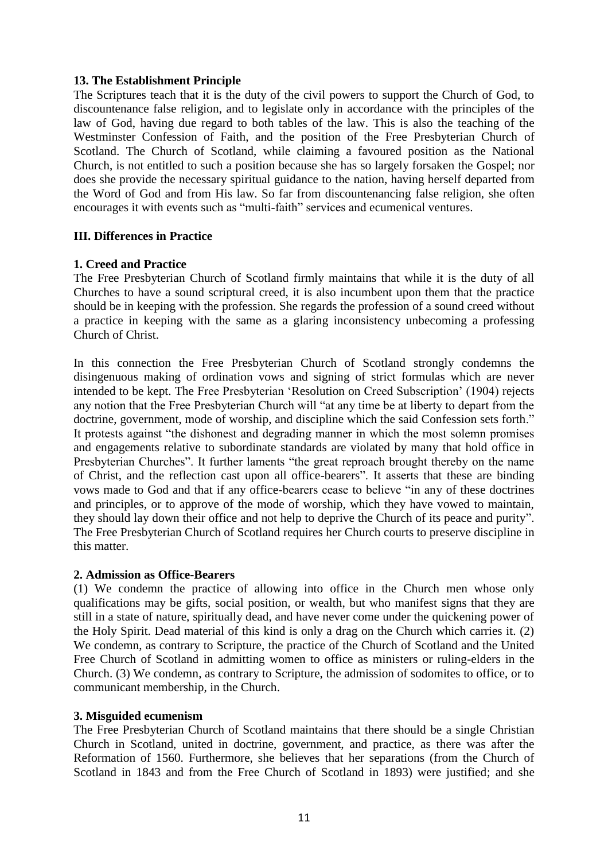# **13. The Establishment Principle**

The Scriptures teach that it is the duty of the civil powers to support the Church of God, to discountenance false religion, and to legislate only in accordance with the principles of the law of God, having due regard to both tables of the law. This is also the teaching of the Westminster Confession of Faith, and the position of the Free Presbyterian Church of Scotland. The Church of Scotland, while claiming a favoured position as the National Church, is not entitled to such a position because she has so largely forsaken the Gospel; nor does she provide the necessary spiritual guidance to the nation, having herself departed from the Word of God and from His law. So far from discountenancing false religion, she often encourages it with events such as "multi-faith" services and ecumenical ventures.

# **III. Differences in Practice**

# **1. Creed and Practice**

The Free Presbyterian Church of Scotland firmly maintains that while it is the duty of all Churches to have a sound scriptural creed, it is also incumbent upon them that the practice should be in keeping with the profession. She regards the profession of a sound creed without a practice in keeping with the same as a glaring inconsistency unbecoming a professing Church of Christ.

In this connection the Free Presbyterian Church of Scotland strongly condemns the disingenuous making of ordination vows and signing of strict formulas which are never intended to be kept. The Free Presbyterian 'Resolution on Creed Subscription' (1904) rejects any notion that the Free Presbyterian Church will "at any time be at liberty to depart from the doctrine, government, mode of worship, and discipline which the said Confession sets forth." It protests against "the dishonest and degrading manner in which the most solemn promises and engagements relative to subordinate standards are violated by many that hold office in Presbyterian Churches". It further laments "the great reproach brought thereby on the name of Christ, and the reflection cast upon all office-bearers". It asserts that these are binding vows made to God and that if any office-bearers cease to believe "in any of these doctrines and principles, or to approve of the mode of worship, which they have vowed to maintain, they should lay down their office and not help to deprive the Church of its peace and purity". The Free Presbyterian Church of Scotland requires her Church courts to preserve discipline in this matter.

### **2. Admission as Office-Bearers**

(1) We condemn the practice of allowing into office in the Church men whose only qualifications may be gifts, social position, or wealth, but who manifest signs that they are still in a state of nature, spiritually dead, and have never come under the quickening power of the Holy Spirit. Dead material of this kind is only a drag on the Church which carries it. (2) We condemn, as contrary to Scripture, the practice of the Church of Scotland and the United Free Church of Scotland in admitting women to office as ministers or ruling-elders in the Church. (3) We condemn, as contrary to Scripture, the admission of sodomites to office, or to communicant membership, in the Church.

### **3. Misguided ecumenism**

The Free Presbyterian Church of Scotland maintains that there should be a single Christian Church in Scotland, united in doctrine, government, and practice, as there was after the Reformation of 1560. Furthermore, she believes that her separations (from the Church of Scotland in 1843 and from the Free Church of Scotland in 1893) were justified; and she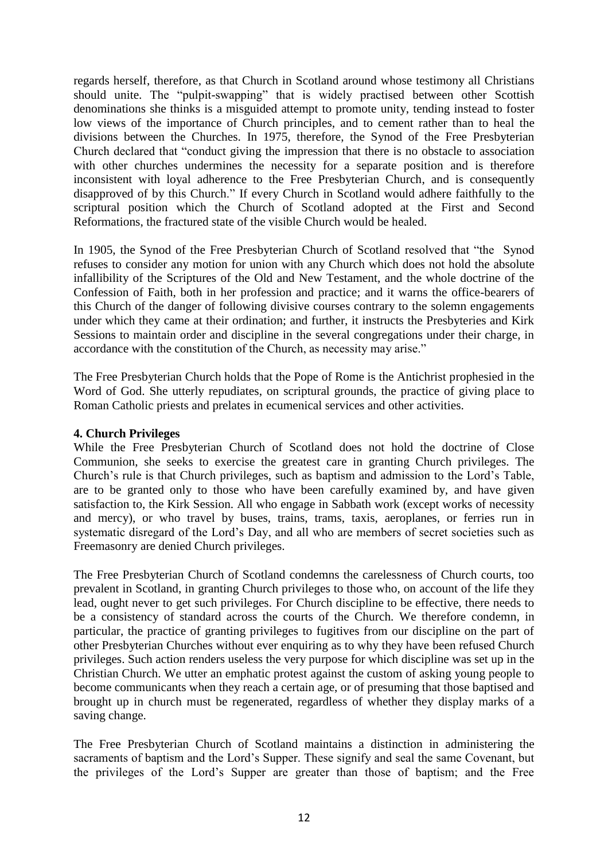regards herself, therefore, as that Church in Scotland around whose testimony all Christians should unite. The "pulpit-swapping" that is widely practised between other Scottish denominations she thinks is a misguided attempt to promote unity, tending instead to foster low views of the importance of Church principles, and to cement rather than to heal the divisions between the Churches. In 1975, therefore, the Synod of the Free Presbyterian Church declared that "conduct giving the impression that there is no obstacle to association with other churches undermines the necessity for a separate position and is therefore inconsistent with loyal adherence to the Free Presbyterian Church, and is consequently disapproved of by this Church." If every Church in Scotland would adhere faithfully to the scriptural position which the Church of Scotland adopted at the First and Second Reformations, the fractured state of the visible Church would be healed.

In 1905, the Synod of the Free Presbyterian Church of Scotland resolved that "the Synod refuses to consider any motion for union with any Church which does not hold the absolute infallibility of the Scriptures of the Old and New Testament, and the whole doctrine of the Confession of Faith, both in her profession and practice; and it warns the office-bearers of this Church of the danger of following divisive courses contrary to the solemn engagements under which they came at their ordination; and further, it instructs the Presbyteries and Kirk Sessions to maintain order and discipline in the several congregations under their charge, in accordance with the constitution of the Church, as necessity may arise."

The Free Presbyterian Church holds that the Pope of Rome is the Antichrist prophesied in the Word of God. She utterly repudiates, on scriptural grounds, the practice of giving place to Roman Catholic priests and prelates in ecumenical services and other activities.

### **4. Church Privileges**

While the Free Presbyterian Church of Scotland does not hold the doctrine of Close Communion, she seeks to exercise the greatest care in granting Church privileges. The Church's rule is that Church privileges, such as baptism and admission to the Lord's Table, are to be granted only to those who have been carefully examined by, and have given satisfaction to, the Kirk Session. All who engage in Sabbath work (except works of necessity and mercy), or who travel by buses, trains, trams, taxis, aeroplanes, or ferries run in systematic disregard of the Lord's Day, and all who are members of secret societies such as Freemasonry are denied Church privileges.

The Free Presbyterian Church of Scotland condemns the carelessness of Church courts, too prevalent in Scotland, in granting Church privileges to those who, on account of the life they lead, ought never to get such privileges. For Church discipline to be effective, there needs to be a consistency of standard across the courts of the Church. We therefore condemn, in particular, the practice of granting privileges to fugitives from our discipline on the part of other Presbyterian Churches without ever enquiring as to why they have been refused Church privileges. Such action renders useless the very purpose for which discipline was set up in the Christian Church. We utter an emphatic protest against the custom of asking young people to become communicants when they reach a certain age, or of presuming that those baptised and brought up in church must be regenerated, regardless of whether they display marks of a saving change.

The Free Presbyterian Church of Scotland maintains a distinction in administering the sacraments of baptism and the Lord's Supper. These signify and seal the same Covenant, but the privileges of the Lord's Supper are greater than those of baptism; and the Free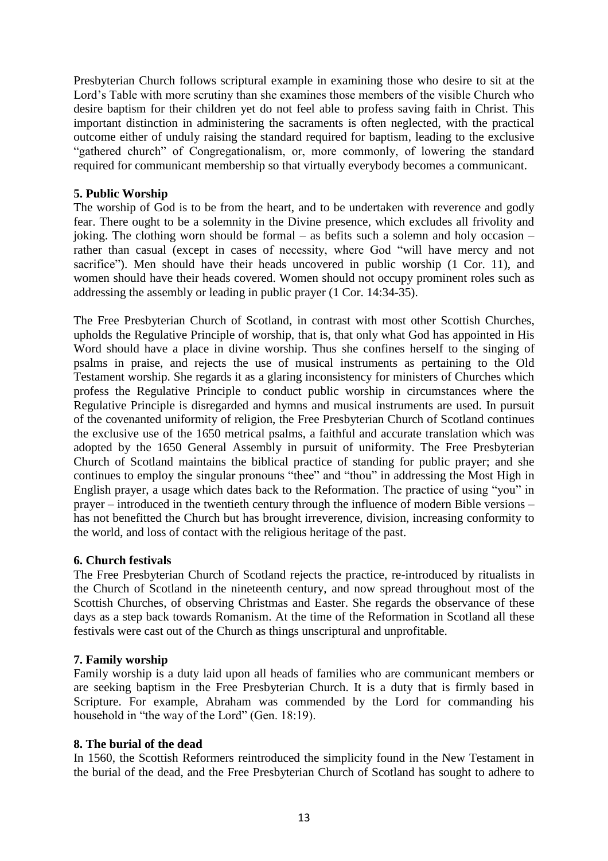Presbyterian Church follows scriptural example in examining those who desire to sit at the Lord's Table with more scrutiny than she examines those members of the visible Church who desire baptism for their children yet do not feel able to profess saving faith in Christ. This important distinction in administering the sacraments is often neglected, with the practical outcome either of unduly raising the standard required for baptism, leading to the exclusive "gathered church" of Congregationalism, or, more commonly, of lowering the standard required for communicant membership so that virtually everybody becomes a communicant.

# **5. Public Worship**

The worship of God is to be from the heart, and to be undertaken with reverence and godly fear. There ought to be a solemnity in the Divine presence, which excludes all frivolity and joking. The clothing worn should be formal – as befits such a solemn and holy occasion – rather than casual (except in cases of necessity, where God "will have mercy and not sacrifice"). Men should have their heads uncovered in public worship (1 Cor. 11), and women should have their heads covered. Women should not occupy prominent roles such as addressing the assembly or leading in public prayer (1 Cor. 14:34-35).

The Free Presbyterian Church of Scotland, in contrast with most other Scottish Churches, upholds the Regulative Principle of worship, that is, that only what God has appointed in His Word should have a place in divine worship. Thus she confines herself to the singing of psalms in praise, and rejects the use of musical instruments as pertaining to the Old Testament worship. She regards it as a glaring inconsistency for ministers of Churches which profess the Regulative Principle to conduct public worship in circumstances where the Regulative Principle is disregarded and hymns and musical instruments are used. In pursuit of the covenanted uniformity of religion, the Free Presbyterian Church of Scotland continues the exclusive use of the 1650 metrical psalms, a faithful and accurate translation which was adopted by the 1650 General Assembly in pursuit of uniformity. The Free Presbyterian Church of Scotland maintains the biblical practice of standing for public prayer; and she continues to employ the singular pronouns "thee" and "thou" in addressing the Most High in English prayer, a usage which dates back to the Reformation. The practice of using "you" in prayer – introduced in the twentieth century through the influence of modern Bible versions – has not benefitted the Church but has brought irreverence, division, increasing conformity to the world, and loss of contact with the religious heritage of the past.

### **6. Church festivals**

The Free Presbyterian Church of Scotland rejects the practice, re-introduced by ritualists in the Church of Scotland in the nineteenth century, and now spread throughout most of the Scottish Churches, of observing Christmas and Easter. She regards the observance of these days as a step back towards Romanism. At the time of the Reformation in Scotland all these festivals were cast out of the Church as things unscriptural and unprofitable.

# **7. Family worship**

Family worship is a duty laid upon all heads of families who are communicant members or are seeking baptism in the Free Presbyterian Church. It is a duty that is firmly based in Scripture. For example, Abraham was commended by the Lord for commanding his household in "the way of the Lord" (Gen. 18:19).

### **8. The burial of the dead**

In 1560, the Scottish Reformers reintroduced the simplicity found in the New Testament in the burial of the dead, and the Free Presbyterian Church of Scotland has sought to adhere to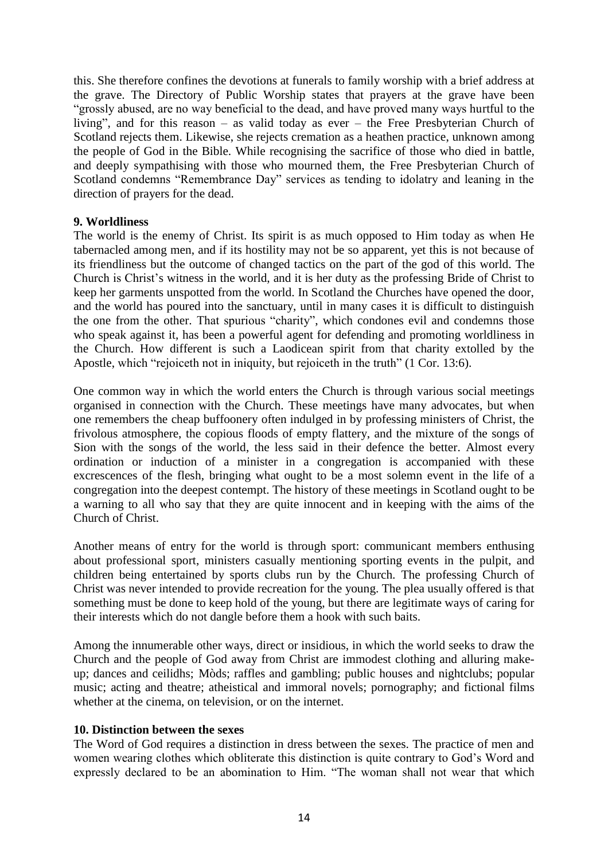this. She therefore confines the devotions at funerals to family worship with a brief address at the grave. The Directory of Public Worship states that prayers at the grave have been "grossly abused, are no way beneficial to the dead, and have proved many ways hurtful to the living", and for this reason – as valid today as ever – the Free Presbyterian Church of Scotland rejects them. Likewise, she rejects cremation as a heathen practice, unknown among the people of God in the Bible. While recognising the sacrifice of those who died in battle, and deeply sympathising with those who mourned them, the Free Presbyterian Church of Scotland condemns "Remembrance Day" services as tending to idolatry and leaning in the direction of prayers for the dead.

# **9. Worldliness**

The world is the enemy of Christ. Its spirit is as much opposed to Him today as when He tabernacled among men, and if its hostility may not be so apparent, yet this is not because of its friendliness but the outcome of changed tactics on the part of the god of this world. The Church is Christ's witness in the world, and it is her duty as the professing Bride of Christ to keep her garments unspotted from the world. In Scotland the Churches have opened the door, and the world has poured into the sanctuary, until in many cases it is difficult to distinguish the one from the other. That spurious "charity", which condones evil and condemns those who speak against it, has been a powerful agent for defending and promoting worldliness in the Church. How different is such a Laodicean spirit from that charity extolled by the Apostle, which "rejoiceth not in iniquity, but rejoiceth in the truth" (1 Cor. 13:6).

One common way in which the world enters the Church is through various social meetings organised in connection with the Church. These meetings have many advocates, but when one remembers the cheap buffoonery often indulged in by professing ministers of Christ, the frivolous atmosphere, the copious floods of empty flattery, and the mixture of the songs of Sion with the songs of the world, the less said in their defence the better. Almost every ordination or induction of a minister in a congregation is accompanied with these excrescences of the flesh, bringing what ought to be a most solemn event in the life of a congregation into the deepest contempt. The history of these meetings in Scotland ought to be a warning to all who say that they are quite innocent and in keeping with the aims of the Church of Christ.

Another means of entry for the world is through sport: communicant members enthusing about professional sport, ministers casually mentioning sporting events in the pulpit, and children being entertained by sports clubs run by the Church. The professing Church of Christ was never intended to provide recreation for the young. The plea usually offered is that something must be done to keep hold of the young, but there are legitimate ways of caring for their interests which do not dangle before them a hook with such baits.

Among the innumerable other ways, direct or insidious, in which the world seeks to draw the Church and the people of God away from Christ are immodest clothing and alluring makeup; dances and ceilidhs; Mòds; raffles and gambling; public houses and nightclubs; popular music; acting and theatre; atheistical and immoral novels; pornography; and fictional films whether at the cinema, on television, or on the internet.

### **10. Distinction between the sexes**

The Word of God requires a distinction in dress between the sexes. The practice of men and women wearing clothes which obliterate this distinction is quite contrary to God's Word and expressly declared to be an abomination to Him. "The woman shall not wear that which